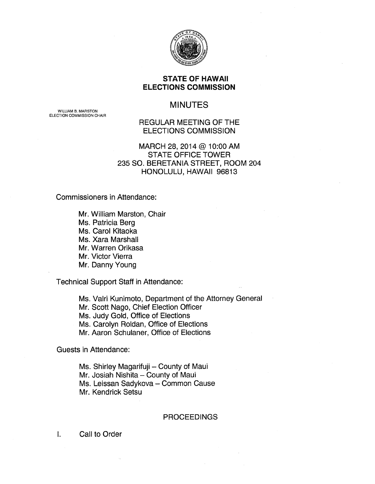

#### **STATE OF HAWAII ELECTIONS COMMISSION**

# MINUTES

WILLIAM B. MARSTON ELECTION COMMISSION CHAIR

## REGULAR MEETING OF THE ELECTIONS COMMISSION

## MARCH 28, 2014 @ 10:00 AM STATE OFFICE TOWER 235 SO. BERETANIA STREET, ROOM 204 HONOLULU, HAWAII 96813

Commissioners in Attendance:

Mr. William Marston, Chair Ms. Patricia Berg Ms. Carol Kitaoka Ms. Xara Marshall Mr. Warren Orikasa Mr. Victor Vierra Mr. Danny Young

Technical Support Staff in Attendance:

Ms. Valri Kunimoto, Department of the Attorney General Mr. Scott Nago, Chief Election Officer Ms. Judy Gold, Office of Elections Ms. Carolyn Roldan, Office of Elections Mr. Aaron Schulaner, Office of Elections

Guests in Attendance:

Ms. Shirley Magarifuji - County of Maui Mr. Josiah Nishita - County of Maui Ms. Leissan Sadykova - Common Cause Mr. Kendrick Setsu

#### **PROCEEDINGS**

I. Call to Order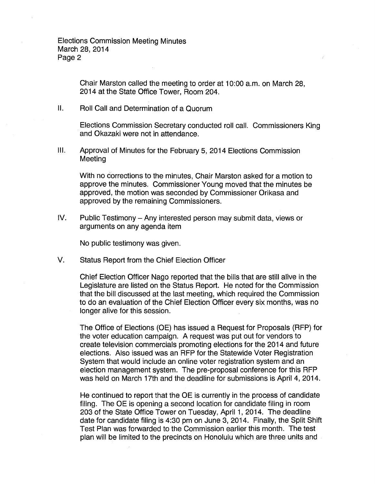Chair Marston called the meeting to order at 1 0:00 a.m. on March 28, 2014 at the State Office Tower, Room 204.

II. Roll Call and Determination of a Quorum

Elections Commission Secretary conducted roll call. Commissioners King and Okazaki were not in attendance.

Ill. Approval of Minutes for the February 5, 2014 Elections Commission Meeting

With no corrections to the minutes, Chair Marston asked for a motion to approve the minutes. Commissioner Young moved that the minutes be approved, the motion was seconded by Commissioner Orikasa and approved by the remaining Commissioners.

IV. Public Testimony- Any interested person may submit data, views or arguments on any agenda item

No public testimony was given.

V. Status Report from the Chief Election Officer

Chief Election Officer Nago reported that the bills that are still alive in the Legislature are listed on the Status Report. He noted for the Commission that the bill discussed at the last meeting, which required the Commission to do an evaluation of the Chief Election Officer every six months, was no longer alive for this session.

The Office of Elections (OE) has issued a Request for Proposals (RFP) for the voter education campaign. A request was put out for vendors to create television commercials promoting elections for the 2014 and future elections. Also issued was an RFP for the Statewide Voter Registration System that would include an online voter registration system and an election management system. The pre-proposal conference for this RFP was held on March 17th and the deadline for submissions is April 4, 2014.

He continued to report that the OE is currently in the process of candidate filing. The OE is opening a second location for candidate filing in room 203 of the State Office Tower on Tuesday, April 1, 2014. The deadline date for candidate filing is 4:30 pm on June 3, 2014. Finally, the Split Shift Test Plan was forwarded to the Commission earlier this month. The test plan will be limited to the precincts on Honolulu which are three units and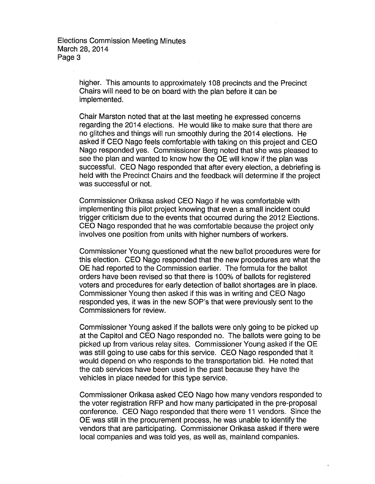Elections Commission Meeting Minutes March 28, 2014 Page 3

> higher. This amounts to approximately 108 precincts and the Precinct Chairs will need to be on board with the plan before it can be implemented.

Chair Marston noted that at the last meeting he expressed concerns regarding the 2014 elections. He would like to make sure that there are no glitches and things will run smoothly during the 2014 elections. He asked if CEO Nago feels comfortable with taking on this project and CEO Nago responded yes. Commissioner Berg noted that she was pleased to see the plan and wanted to know how the OE will know if the plan was successful. CEO Nago responded that after every election, a debriefing is held with the Precinct Chairs and the feedback will determine if the project was successful or not.

Commissioner Orikasa asked CEO Nago if he was comfortable with implementing this pilot project knowing that even a small incident could trigger criticism due to the events that occurred during the 2012 Elections. CEO Nago responded that he was comfortable because the project only involves one position from units with higher numbers of workers.

Commissioner Young questioned what the new ballot procedures were for this election. CEO Nago responded that the new procedures are what the OE had reported to the Commission earlier. The formula for the ballot orders have been revised so that there is 1 00% of ballots for registered voters and procedures for early detection of ballot shortages are in place. Commissioner Young then asked if this was in writing and CEO Nago responded yes, it was in the new SOP's that were previously sent to the Commissioners for review.

Commissioner Young asked if the ballots were only going to be picked up at the Capitol and CEO Nago responded no. The ballots were going to be picked up from various relay sites. Commissioner Young asked if the OE was still going to use cabs for this service. CEO Nago responded that it would depend on who responds to the transportation bid. He noted that the cab services have been used in the past because they have the vehicles in place needed for this type service.

Commissioner Orikasa asked CEO Nago how many vendors responded to the voter registration RFP and how many participated in the pre-proposal conference. CEO Nago responded that there were 11 vendors. Since the OE was still in the procurement process, he was unable to identify the vendors that are participating. Commissioner Orikasa asked if there were local companies and was told yes, as well as, mainland companies.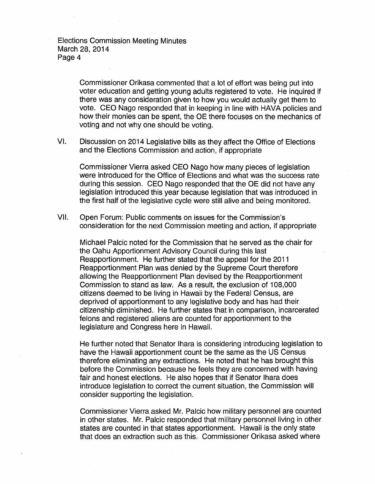Elections Commission Meeting Minutes March 28, 2014 Page 4

> Commissioner Orikasa commented that a lot of effort was being put into voter education and getting young adults registered to vote. He inquired if there was any consideration given to how you would actually get them to vote. CEO Nago responded that in keeping in line with HAVA policies and how their monies can be spent, the OE there focuses on the mechanics of voting and not why one should be voting.

VI. Discussion on 2014 Legislative bills as they affect the Office of Elections and the Elections Commission and action, if appropriate

Commissioner Vierra asked CEO Nago how many pieces of legislation were introduced for the Office of Elections and what was the success rate during this session. CEO Nago responded that the OE did not have any legislation introduced this year because legislation that was introduced in the first half of the legislative cycle were still alive and being monitored.

VII. Open Forum: Public comments on issues for the Commission's consideration for the next Commission meeting and action, if appropriate

Michael Palcic noted for the Commission that he served as the chair for the Oahu Apportionment Advisory Council during this last Reapportionment. He further stated that the appeal for the 2011 Reapportionment Plan was denied by the Supreme Court therefore allowing the Reapportionment Plan devised by the Reapportionment Commission to stand as law. As a result, the exclusion of 1 08,000 citizens deemed to be living in Hawaii by the Federal Census, are deprived of apportionment to any legislative body and has had their citizenship diminished. He further states that in comparison, incarcerated felons and registered aliens are counted for apportionment to the legislature and Congress here in Hawaii.

He further noted that Senator lhara is considering introducing legislation to have the Hawaii apportionment count be the same as the US Census therefore eliminating any extractions. He noted that he has brought this before the Commission because he feels they are concerned with having fair and honest elections. He also hopes that if Senator lhara does introduce legislation to correct the current situation, the Commission will consider supporting the legislation.

Commissioner Vierra asked Mr. Palcic how military personnel are counted in other states. Mr. Palcic responded that military personnel living in other states are counted in that states apportionment. Hawaii is the only state that does an extraction such as this. Commissioner Orikasa asked where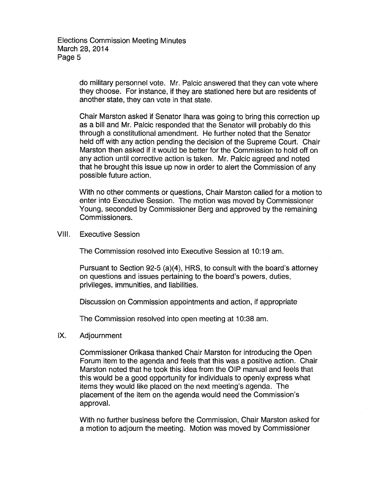do military personnel vote. Mr. Palcic answered that they can vote where they choose. For instance, if they are stationed here but are residents of another state, they can vote in that state.

Chair Marston asked if Senator lhara was going to bring this correction up as a bill and Mr. Palcic responded that the Senator will probably do this through a constitutional amendment. He further noted that the Senator held off with any action pending the decision of the Supreme Court. Chair Marston then asked if it would be better for the Commission to hold off on any action until corrective action is taken. Mr. Palcic agreed and noted that he brought this issue up now in order to alert the Commission of any possible future action.

With no other comments or questions, Chair Marston called for a motion to enter into Executive Session. The motion was moved by Commissioner Young, seconded by Commissioner Berg and approved by the remaining Commissioners.

VIII. Executive Session

The Commission resolved into Executive Session at 10:19 am.

Pursuant to Section 92-5 (a)(4), HRS, to consult with the board's attorney on questions and issues pertaining to the board's powers, duties, privileges, immunities, and liabilities.

Discussion on Commission appointments and action, if appropriate

The Commission resolved into open meeting at 10:38 am.

IX. Adjournment

Commissioner Orikasa thanked Chair Marston for introducing the Open Forum item to the agenda and feels that this was a positive action. Chair Marston noted that he took this idea from the OIP manual and feels that this would be a good opportunity for individuals to openly express what items they would like placed on the next meeting's agenda. The placement of the item on the agenda would need the Commission's approval.

With no further business before the Commission, Chair Marston asked for a motion to adjourn the meeting. Motion was moved by Commissioner